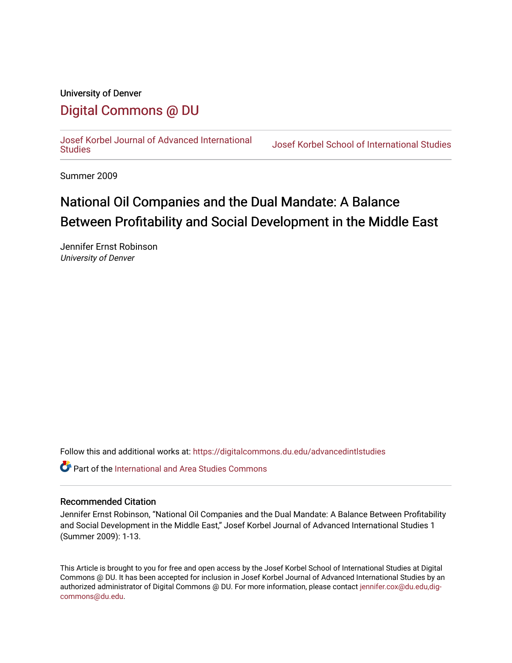## University of Denver [Digital Commons @ DU](https://digitalcommons.du.edu/)

[Josef Korbel Journal of Advanced International](https://digitalcommons.du.edu/advancedintlstudies) 

**Josef Korbel School of International Studies** 

Summer 2009

# National Oil Companies and the Dual Mandate: A Balance Between Profitability and Social Development in the Middle East

Jennifer Ernst Robinson University of Denver

Follow this and additional works at: [https://digitalcommons.du.edu/advancedintlstudies](https://digitalcommons.du.edu/advancedintlstudies?utm_source=digitalcommons.du.edu%2Fadvancedintlstudies%2F19&utm_medium=PDF&utm_campaign=PDFCoverPages)

**P** Part of the International and Area Studies Commons

## Recommended Citation

Jennifer Ernst Robinson, "National Oil Companies and the Dual Mandate: A Balance Between Profitability and Social Development in the Middle East," Josef Korbel Journal of Advanced International Studies 1 (Summer 2009): 1-13.

This Article is brought to you for free and open access by the Josef Korbel School of International Studies at Digital Commons @ DU. It has been accepted for inclusion in Josef Korbel Journal of Advanced International Studies by an authorized administrator of Digital Commons @ DU. For more information, please contact [jennifer.cox@du.edu,dig](mailto:jennifer.cox@du.edu,dig-commons@du.edu)[commons@du.edu.](mailto:jennifer.cox@du.edu,dig-commons@du.edu)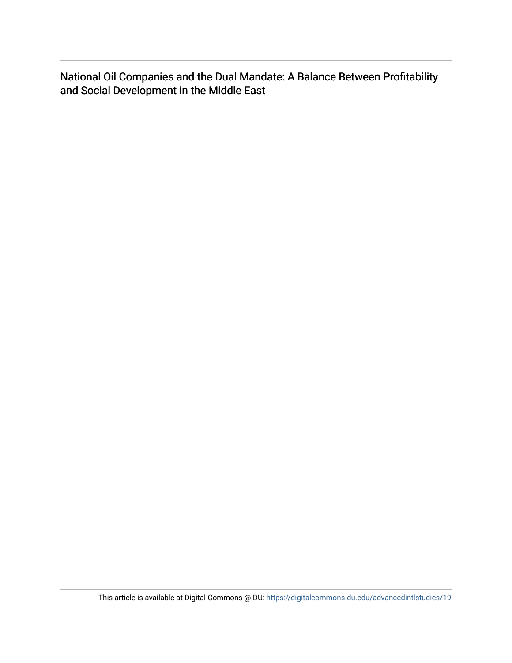National Oil Companies and the Dual Mandate: A Balance Between Profitability and Social Development in the Middle East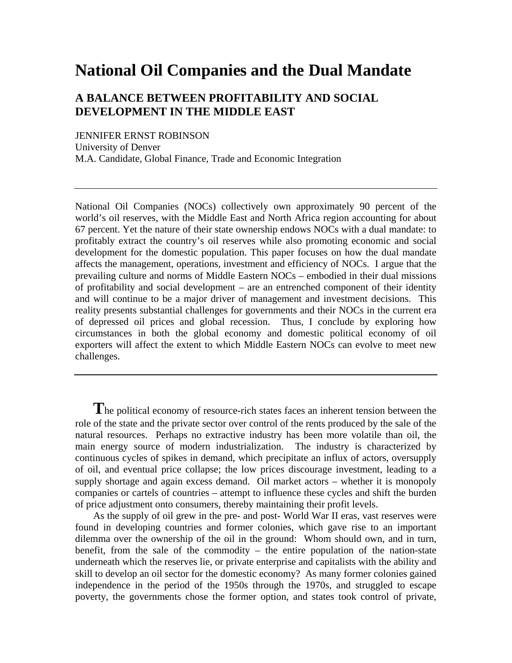# **National Oil Companies and the Dual Mandate**

## **A BALANCE BETWEEN PROFITABILITY AND SOCIAL DEVELOPMENT IN THE MIDDLE EAST**

JENNIFER ERNST ROBINSON University of Denver M.A. Candidate, Global Finance, Trade and Economic Integration

National Oil Companies (NOCs) collectively own approximately 90 percent of the world's oil reserves, with the Middle East and North Africa region accounting for about 67 percent. Yet the nature of their state ownership endows NOCs with a dual mandate: to profitably extract the country's oil reserves while also promoting economic and social development for the domestic population. This paper focuses on how the dual mandate affects the management, operations, investment and efficiency of NOCs. I argue that the prevailing culture and norms of Middle Eastern NOCs – embodied in their dual missions of profitability and social development – are an entrenched component of their identity and will continue to be a major driver of management and investment decisions. This reality presents substantial challenges for governments and their NOCs in the current era of depressed oil prices and global recession. Thus, I conclude by exploring how circumstances in both the global economy and domestic political economy of oil exporters will affect the extent to which Middle Eastern NOCs can evolve to meet new challenges.

**T**he political economy of resource-rich states faces an inherent tension between the role of the state and the private sector over control of the rents produced by the sale of the natural resources. Perhaps no extractive industry has been more volatile than oil, the main energy source of modern industrialization. The industry is characterized by continuous cycles of spikes in demand, which precipitate an influx of actors, oversupply of oil, and eventual price collapse; the low prices discourage investment, leading to a supply shortage and again excess demand. Oil market actors – whether it is monopoly companies or cartels of countries – attempt to influence these cycles and shift the burden of price adjustment onto consumers, thereby maintaining their profit levels.

As the supply of oil grew in the pre- and post- World War II eras, vast reserves were found in developing countries and former colonies, which gave rise to an important dilemma over the ownership of the oil in the ground: Whom should own, and in turn, benefit, from the sale of the commodity – the entire population of the nation-state underneath which the reserves lie, or private enterprise and capitalists with the ability and skill to develop an oil sector for the domestic economy? As many former colonies gained independence in the period of the 1950s through the 1970s, and struggled to escape poverty, the governments chose the former option, and states took control of private,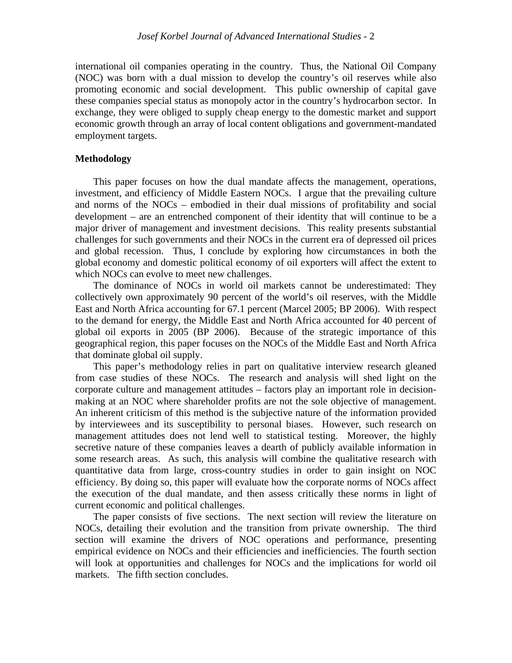international oil companies operating in the country. Thus, the National Oil Company (NOC) was born with a dual mission to develop the country's oil reserves while also promoting economic and social development. This public ownership of capital gave these companies special status as monopoly actor in the country's hydrocarbon sector. In exchange, they were obliged to supply cheap energy to the domestic market and support economic growth through an array of local content obligations and government-mandated employment targets.

## **Methodology**

This paper focuses on how the dual mandate affects the management, operations, investment, and efficiency of Middle Eastern NOCs. I argue that the prevailing culture and norms of the NOCs – embodied in their dual missions of profitability and social development – are an entrenched component of their identity that will continue to be a major driver of management and investment decisions. This reality presents substantial challenges for such governments and their NOCs in the current era of depressed oil prices and global recession. Thus, I conclude by exploring how circumstances in both the global economy and domestic political economy of oil exporters will affect the extent to which NOCs can evolve to meet new challenges.

The dominance of NOCs in world oil markets cannot be underestimated: They collectively own approximately 90 percent of the world's oil reserves, with the Middle East and North Africa accounting for 67.1 percent (Marcel 2005; BP 2006). With respect to the demand for energy, the Middle East and North Africa accounted for 40 percent of global oil exports in 2005 (BP 2006). Because of the strategic importance of this geographical region, this paper focuses on the NOCs of the Middle East and North Africa that dominate global oil supply.

This paper's methodology relies in part on qualitative interview research gleaned from case studies of these NOCs. The research and analysis will shed light on the corporate culture and management attitudes – factors play an important role in decisionmaking at an NOC where shareholder profits are not the sole objective of management. An inherent criticism of this method is the subjective nature of the information provided by interviewees and its susceptibility to personal biases. However, such research on management attitudes does not lend well to statistical testing. Moreover, the highly secretive nature of these companies leaves a dearth of publicly available information in some research areas. As such, this analysis will combine the qualitative research with quantitative data from large, cross-country studies in order to gain insight on NOC efficiency. By doing so, this paper will evaluate how the corporate norms of NOCs affect the execution of the dual mandate, and then assess critically these norms in light of current economic and political challenges.

The paper consists of five sections. The next section will review the literature on NOCs, detailing their evolution and the transition from private ownership. The third section will examine the drivers of NOC operations and performance, presenting empirical evidence on NOCs and their efficiencies and inefficiencies. The fourth section will look at opportunities and challenges for NOCs and the implications for world oil markets. The fifth section concludes.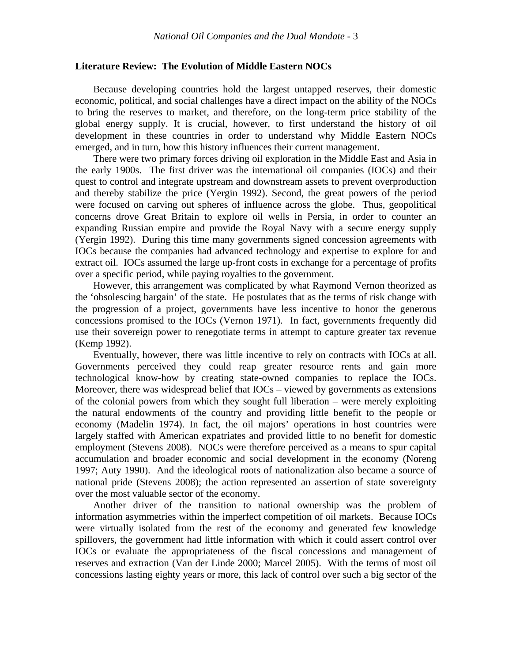## **Literature Review: The Evolution of Middle Eastern NOCs**

Because developing countries hold the largest untapped reserves, their domestic economic, political, and social challenges have a direct impact on the ability of the NOCs to bring the reserves to market, and therefore, on the long-term price stability of the global energy supply. It is crucial, however, to first understand the history of oil development in these countries in order to understand why Middle Eastern NOCs emerged, and in turn, how this history influences their current management.

There were two primary forces driving oil exploration in the Middle East and Asia in the early 1900s. The first driver was the international oil companies (IOCs) and their quest to control and integrate upstream and downstream assets to prevent overproduction and thereby stabilize the price (Yergin 1992). Second, the great powers of the period were focused on carving out spheres of influence across the globe. Thus, geopolitical concerns drove Great Britain to explore oil wells in Persia, in order to counter an expanding Russian empire and provide the Royal Navy with a secure energy supply (Yergin 1992). During this time many governments signed concession agreements with IOCs because the companies had advanced technology and expertise to explore for and extract oil. IOCs assumed the large up-front costs in exchange for a percentage of profits over a specific period, while paying royalties to the government.

However, this arrangement was complicated by what Raymond Vernon theorized as the 'obsolescing bargain' of the state. He postulates that as the terms of risk change with the progression of a project, governments have less incentive to honor the generous concessions promised to the IOCs (Vernon 1971). In fact, governments frequently did use their sovereign power to renegotiate terms in attempt to capture greater tax revenue (Kemp 1992).

Eventually, however, there was little incentive to rely on contracts with IOCs at all. Governments perceived they could reap greater resource rents and gain more technological know-how by creating state-owned companies to replace the IOCs. Moreover, there was widespread belief that IOCs – viewed by governments as extensions of the colonial powers from which they sought full liberation – were merely exploiting the natural endowments of the country and providing little benefit to the people or economy (Madelin 1974). In fact, the oil majors' operations in host countries were largely staffed with American expatriates and provided little to no benefit for domestic employment (Stevens 2008). NOCs were therefore perceived as a means to spur capital accumulation and broader economic and social development in the economy (Noreng 1997; Auty 1990). And the ideological roots of nationalization also became a source of national pride (Stevens 2008); the action represented an assertion of state sovereignty over the most valuable sector of the economy.

Another driver of the transition to national ownership was the problem of information asymmetries within the imperfect competition of oil markets. Because IOCs were virtually isolated from the rest of the economy and generated few knowledge spillovers, the government had little information with which it could assert control over IOCs or evaluate the appropriateness of the fiscal concessions and management of reserves and extraction (Van der Linde 2000; Marcel 2005). With the terms of most oil concessions lasting eighty years or more, this lack of control over such a big sector of the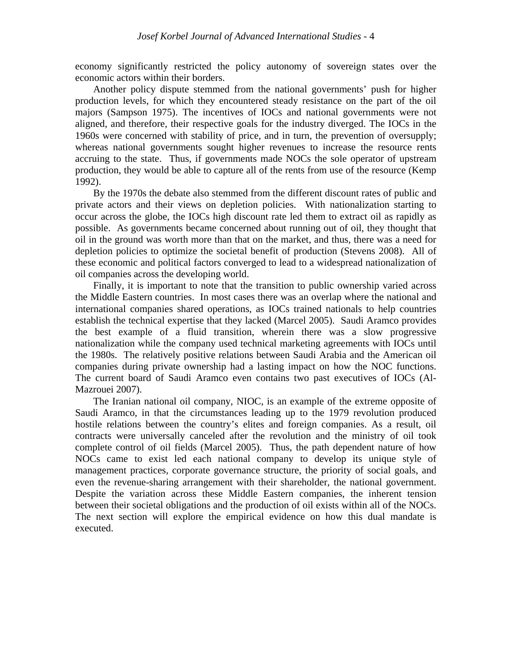economy significantly restricted the policy autonomy of sovereign states over the economic actors within their borders.

Another policy dispute stemmed from the national governments' push for higher production levels, for which they encountered steady resistance on the part of the oil majors (Sampson 1975). The incentives of IOCs and national governments were not aligned, and therefore, their respective goals for the industry diverged. The IOCs in the 1960s were concerned with stability of price, and in turn, the prevention of oversupply; whereas national governments sought higher revenues to increase the resource rents accruing to the state. Thus, if governments made NOCs the sole operator of upstream production, they would be able to capture all of the rents from use of the resource (Kemp 1992).

By the 1970s the debate also stemmed from the different discount rates of public and private actors and their views on depletion policies. With nationalization starting to occur across the globe, the IOCs high discount rate led them to extract oil as rapidly as possible. As governments became concerned about running out of oil, they thought that oil in the ground was worth more than that on the market, and thus, there was a need for depletion policies to optimize the societal benefit of production (Stevens 2008). All of these economic and political factors converged to lead to a widespread nationalization of oil companies across the developing world.

Finally, it is important to note that the transition to public ownership varied across the Middle Eastern countries. In most cases there was an overlap where the national and international companies shared operations, as IOCs trained nationals to help countries establish the technical expertise that they lacked (Marcel 2005). Saudi Aramco provides the best example of a fluid transition, wherein there was a slow progressive nationalization while the company used technical marketing agreements with IOCs until the 1980s. The relatively positive relations between Saudi Arabia and the American oil companies during private ownership had a lasting impact on how the NOC functions. The current board of Saudi Aramco even contains two past executives of IOCs (Al-Mazrouei 2007).

The Iranian national oil company, NIOC, is an example of the extreme opposite of Saudi Aramco, in that the circumstances leading up to the 1979 revolution produced hostile relations between the country's elites and foreign companies. As a result, oil contracts were universally canceled after the revolution and the ministry of oil took complete control of oil fields (Marcel 2005). Thus, the path dependent nature of how NOCs came to exist led each national company to develop its unique style of management practices, corporate governance structure, the priority of social goals, and even the revenue-sharing arrangement with their shareholder, the national government. Despite the variation across these Middle Eastern companies, the inherent tension between their societal obligations and the production of oil exists within all of the NOCs. The next section will explore the empirical evidence on how this dual mandate is executed.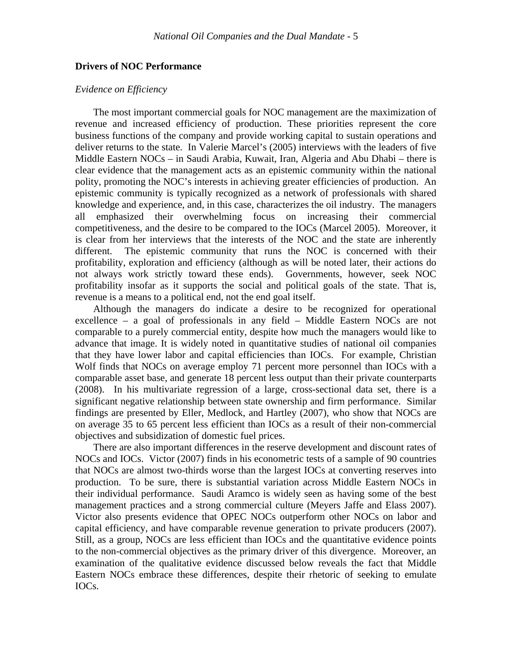## **Drivers of NOC Performance**

## *Evidence on Efficiency*

The most important commercial goals for NOC management are the maximization of revenue and increased efficiency of production. These priorities represent the core business functions of the company and provide working capital to sustain operations and deliver returns to the state. In Valerie Marcel's (2005) interviews with the leaders of five Middle Eastern NOCs – in Saudi Arabia, Kuwait, Iran, Algeria and Abu Dhabi – there is clear evidence that the management acts as an epistemic community within the national polity, promoting the NOC's interests in achieving greater efficiencies of production. An epistemic community is typically recognized as a network of professionals with shared knowledge and experience, and, in this case, characterizes the oil industry. The managers all emphasized their overwhelming focus on increasing their commercial competitiveness, and the desire to be compared to the IOCs (Marcel 2005). Moreover, it is clear from her interviews that the interests of the NOC and the state are inherently different. The epistemic community that runs the NOC is concerned with their profitability, exploration and efficiency (although as will be noted later, their actions do not always work strictly toward these ends). Governments, however, seek NOC profitability insofar as it supports the social and political goals of the state. That is, revenue is a means to a political end, not the end goal itself.

Although the managers do indicate a desire to be recognized for operational excellence – a goal of professionals in any field – Middle Eastern NOCs are not comparable to a purely commercial entity, despite how much the managers would like to advance that image. It is widely noted in quantitative studies of national oil companies that they have lower labor and capital efficiencies than IOCs. For example, Christian Wolf finds that NOCs on average employ 71 percent more personnel than IOCs with a comparable asset base, and generate 18 percent less output than their private counterparts (2008). In his multivariate regression of a large, cross-sectional data set, there is a significant negative relationship between state ownership and firm performance. Similar findings are presented by Eller, Medlock, and Hartley (2007), who show that NOCs are on average 35 to 65 percent less efficient than IOCs as a result of their non-commercial objectives and subsidization of domestic fuel prices.

There are also important differences in the reserve development and discount rates of NOCs and IOCs. Victor (2007) finds in his econometric tests of a sample of 90 countries that NOCs are almost two-thirds worse than the largest IOCs at converting reserves into production. To be sure, there is substantial variation across Middle Eastern NOCs in their individual performance. Saudi Aramco is widely seen as having some of the best management practices and a strong commercial culture (Meyers Jaffe and Elass 2007). Victor also presents evidence that OPEC NOCs outperform other NOCs on labor and capital efficiency, and have comparable revenue generation to private producers (2007). Still, as a group, NOCs are less efficient than IOCs and the quantitative evidence points to the non-commercial objectives as the primary driver of this divergence. Moreover, an examination of the qualitative evidence discussed below reveals the fact that Middle Eastern NOCs embrace these differences, despite their rhetoric of seeking to emulate IOCs.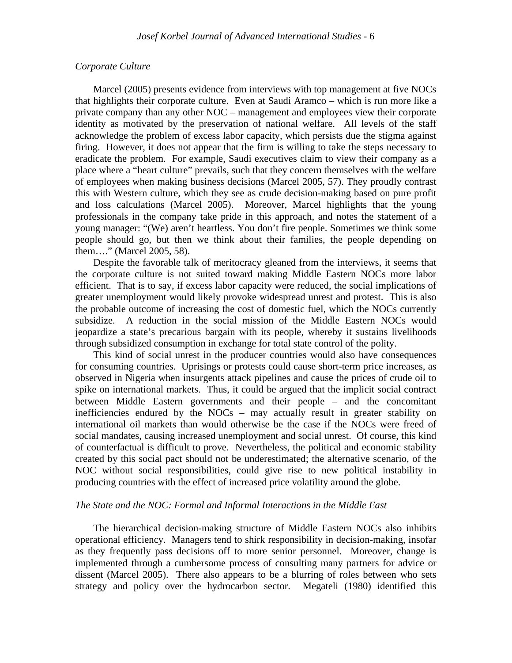## *Corporate Culture*

Marcel (2005) presents evidence from interviews with top management at five NOCs that highlights their corporate culture. Even at Saudi Aramco – which is run more like a private company than any other NOC – management and employees view their corporate identity as motivated by the preservation of national welfare. All levels of the staff acknowledge the problem of excess labor capacity, which persists due the stigma against firing. However, it does not appear that the firm is willing to take the steps necessary to eradicate the problem. For example, Saudi executives claim to view their company as a place where a "heart culture" prevails, such that they concern themselves with the welfare of employees when making business decisions (Marcel 2005, 57). They proudly contrast this with Western culture, which they see as crude decision-making based on pure profit and loss calculations (Marcel 2005). Moreover, Marcel highlights that the young professionals in the company take pride in this approach, and notes the statement of a young manager: "(We) aren't heartless. You don't fire people. Sometimes we think some people should go, but then we think about their families, the people depending on them…." (Marcel 2005, 58).

Despite the favorable talk of meritocracy gleaned from the interviews, it seems that the corporate culture is not suited toward making Middle Eastern NOCs more labor efficient. That is to say, if excess labor capacity were reduced, the social implications of greater unemployment would likely provoke widespread unrest and protest. This is also the probable outcome of increasing the cost of domestic fuel, which the NOCs currently subsidize. A reduction in the social mission of the Middle Eastern NOCs would jeopardize a state's precarious bargain with its people, whereby it sustains livelihoods through subsidized consumption in exchange for total state control of the polity.

This kind of social unrest in the producer countries would also have consequences for consuming countries. Uprisings or protests could cause short-term price increases, as observed in Nigeria when insurgents attack pipelines and cause the prices of crude oil to spike on international markets. Thus, it could be argued that the implicit social contract between Middle Eastern governments and their people – and the concomitant inefficiencies endured by the NOCs – may actually result in greater stability on international oil markets than would otherwise be the case if the NOCs were freed of social mandates, causing increased unemployment and social unrest. Of course, this kind of counterfactual is difficult to prove. Nevertheless, the political and economic stability created by this social pact should not be underestimated; the alternative scenario, of the NOC without social responsibilities, could give rise to new political instability in producing countries with the effect of increased price volatility around the globe.

## *The State and the NOC: Formal and Informal Interactions in the Middle East*

The hierarchical decision-making structure of Middle Eastern NOCs also inhibits operational efficiency. Managers tend to shirk responsibility in decision-making, insofar as they frequently pass decisions off to more senior personnel. Moreover, change is implemented through a cumbersome process of consulting many partners for advice or dissent (Marcel 2005). There also appears to be a blurring of roles between who sets strategy and policy over the hydrocarbon sector. Megateli (1980) identified this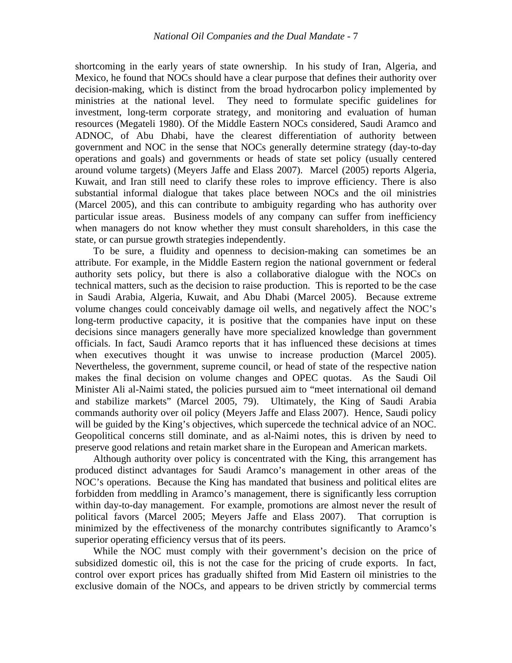shortcoming in the early years of state ownership. In his study of Iran, Algeria, and Mexico, he found that NOCs should have a clear purpose that defines their authority over decision-making, which is distinct from the broad hydrocarbon policy implemented by ministries at the national level. They need to formulate specific guidelines for investment, long-term corporate strategy, and monitoring and evaluation of human resources (Megateli 1980). Of the Middle Eastern NOCs considered, Saudi Aramco and ADNOC, of Abu Dhabi, have the clearest differentiation of authority between government and NOC in the sense that NOCs generally determine strategy (day-to-day operations and goals) and governments or heads of state set policy (usually centered around volume targets) (Meyers Jaffe and Elass 2007). Marcel (2005) reports Algeria, Kuwait, and Iran still need to clarify these roles to improve efficiency. There is also substantial informal dialogue that takes place between NOCs and the oil ministries (Marcel 2005), and this can contribute to ambiguity regarding who has authority over particular issue areas. Business models of any company can suffer from inefficiency when managers do not know whether they must consult shareholders, in this case the state, or can pursue growth strategies independently.

To be sure, a fluidity and openness to decision-making can sometimes be an attribute. For example, in the Middle Eastern region the national government or federal authority sets policy, but there is also a collaborative dialogue with the NOCs on technical matters, such as the decision to raise production. This is reported to be the case in Saudi Arabia, Algeria, Kuwait, and Abu Dhabi (Marcel 2005). Because extreme volume changes could conceivably damage oil wells, and negatively affect the NOC's long-term productive capacity, it is positive that the companies have input on these decisions since managers generally have more specialized knowledge than government officials. In fact, Saudi Aramco reports that it has influenced these decisions at times when executives thought it was unwise to increase production (Marcel 2005). Nevertheless, the government, supreme council, or head of state of the respective nation makes the final decision on volume changes and OPEC quotas. As the Saudi Oil Minister Ali al-Naimi stated, the policies pursued aim to "meet international oil demand and stabilize markets" (Marcel 2005, 79). Ultimately, the King of Saudi Arabia commands authority over oil policy (Meyers Jaffe and Elass 2007). Hence, Saudi policy will be guided by the King's objectives, which supercede the technical advice of an NOC. Geopolitical concerns still dominate, and as al-Naimi notes, this is driven by need to preserve good relations and retain market share in the European and American markets.

Although authority over policy is concentrated with the King, this arrangement has produced distinct advantages for Saudi Aramco's management in other areas of the NOC's operations. Because the King has mandated that business and political elites are forbidden from meddling in Aramco's management, there is significantly less corruption within day-to-day management. For example, promotions are almost never the result of political favors (Marcel 2005; Meyers Jaffe and Elass 2007). That corruption is minimized by the effectiveness of the monarchy contributes significantly to Aramco's superior operating efficiency versus that of its peers.

While the NOC must comply with their government's decision on the price of subsidized domestic oil, this is not the case for the pricing of crude exports. In fact, control over export prices has gradually shifted from Mid Eastern oil ministries to the exclusive domain of the NOCs, and appears to be driven strictly by commercial terms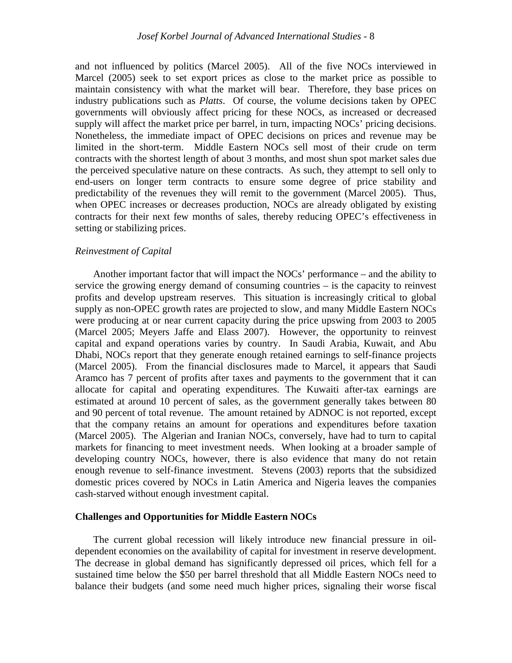and not influenced by politics (Marcel 2005). All of the five NOCs interviewed in Marcel (2005) seek to set export prices as close to the market price as possible to maintain consistency with what the market will bear. Therefore, they base prices on industry publications such as *Platts*. Of course, the volume decisions taken by OPEC governments will obviously affect pricing for these NOCs, as increased or decreased supply will affect the market price per barrel, in turn, impacting NOCs' pricing decisions. Nonetheless, the immediate impact of OPEC decisions on prices and revenue may be limited in the short-term. Middle Eastern NOCs sell most of their crude on term contracts with the shortest length of about 3 months, and most shun spot market sales due the perceived speculative nature on these contracts. As such, they attempt to sell only to end-users on longer term contracts to ensure some degree of price stability and predictability of the revenues they will remit to the government (Marcel 2005). Thus, when OPEC increases or decreases production, NOCs are already obligated by existing contracts for their next few months of sales, thereby reducing OPEC's effectiveness in setting or stabilizing prices.

#### *Reinvestment of Capital*

Another important factor that will impact the NOCs' performance – and the ability to service the growing energy demand of consuming countries – is the capacity to reinvest profits and develop upstream reserves. This situation is increasingly critical to global supply as non-OPEC growth rates are projected to slow, and many Middle Eastern NOCs were producing at or near current capacity during the price upswing from 2003 to 2005 (Marcel 2005; Meyers Jaffe and Elass 2007). However, the opportunity to reinvest capital and expand operations varies by country. In Saudi Arabia, Kuwait, and Abu Dhabi, NOCs report that they generate enough retained earnings to self-finance projects (Marcel 2005). From the financial disclosures made to Marcel, it appears that Saudi Aramco has 7 percent of profits after taxes and payments to the government that it can allocate for capital and operating expenditures. The Kuwaiti after-tax earnings are estimated at around 10 percent of sales, as the government generally takes between 80 and 90 percent of total revenue. The amount retained by ADNOC is not reported, except that the company retains an amount for operations and expenditures before taxation (Marcel 2005). The Algerian and Iranian NOCs, conversely, have had to turn to capital markets for financing to meet investment needs. When looking at a broader sample of developing country NOCs, however, there is also evidence that many do not retain enough revenue to self-finance investment. Stevens (2003) reports that the subsidized domestic prices covered by NOCs in Latin America and Nigeria leaves the companies cash-starved without enough investment capital.

#### **Challenges and Opportunities for Middle Eastern NOCs**

The current global recession will likely introduce new financial pressure in oildependent economies on the availability of capital for investment in reserve development. The decrease in global demand has significantly depressed oil prices, which fell for a sustained time below the \$50 per barrel threshold that all Middle Eastern NOCs need to balance their budgets (and some need much higher prices, signaling their worse fiscal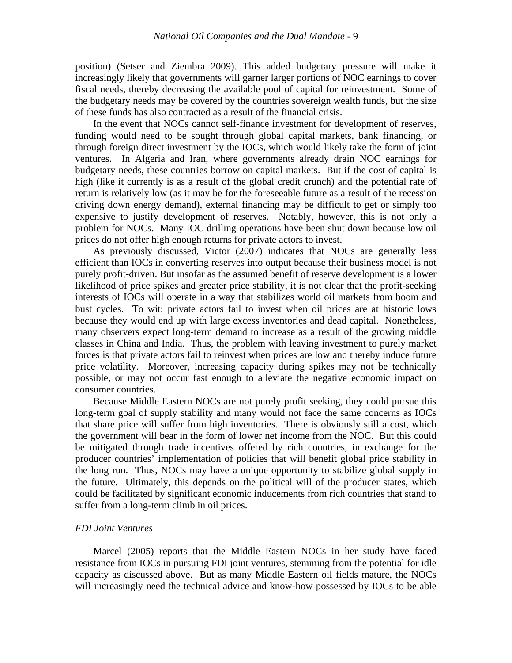position) (Setser and Ziembra 2009). This added budgetary pressure will make it increasingly likely that governments will garner larger portions of NOC earnings to cover fiscal needs, thereby decreasing the available pool of capital for reinvestment. Some of the budgetary needs may be covered by the countries sovereign wealth funds, but the size of these funds has also contracted as a result of the financial crisis.

In the event that NOCs cannot self-finance investment for development of reserves, funding would need to be sought through global capital markets, bank financing, or through foreign direct investment by the IOCs, which would likely take the form of joint ventures. In Algeria and Iran, where governments already drain NOC earnings for budgetary needs, these countries borrow on capital markets. But if the cost of capital is high (like it currently is as a result of the global credit crunch) and the potential rate of return is relatively low (as it may be for the foreseeable future as a result of the recession driving down energy demand), external financing may be difficult to get or simply too expensive to justify development of reserves. Notably, however, this is not only a problem for NOCs. Many IOC drilling operations have been shut down because low oil prices do not offer high enough returns for private actors to invest.

As previously discussed, Victor (2007) indicates that NOCs are generally less efficient than IOCs in converting reserves into output because their business model is not purely profit-driven. But insofar as the assumed benefit of reserve development is a lower likelihood of price spikes and greater price stability, it is not clear that the profit-seeking interests of IOCs will operate in a way that stabilizes world oil markets from boom and bust cycles. To wit: private actors fail to invest when oil prices are at historic lows because they would end up with large excess inventories and dead capital. Nonetheless, many observers expect long-term demand to increase as a result of the growing middle classes in China and India. Thus, the problem with leaving investment to purely market forces is that private actors fail to reinvest when prices are low and thereby induce future price volatility. Moreover, increasing capacity during spikes may not be technically possible, or may not occur fast enough to alleviate the negative economic impact on consumer countries.

Because Middle Eastern NOCs are not purely profit seeking, they could pursue this long-term goal of supply stability and many would not face the same concerns as IOCs that share price will suffer from high inventories. There is obviously still a cost, which the government will bear in the form of lower net income from the NOC. But this could be mitigated through trade incentives offered by rich countries, in exchange for the producer countries' implementation of policies that will benefit global price stability in the long run. Thus, NOCs may have a unique opportunity to stabilize global supply in the future. Ultimately, this depends on the political will of the producer states, which could be facilitated by significant economic inducements from rich countries that stand to suffer from a long-term climb in oil prices.

#### *FDI Joint Ventures*

Marcel (2005) reports that the Middle Eastern NOCs in her study have faced resistance from IOCs in pursuing FDI joint ventures, stemming from the potential for idle capacity as discussed above. But as many Middle Eastern oil fields mature, the NOCs will increasingly need the technical advice and know-how possessed by IOCs to be able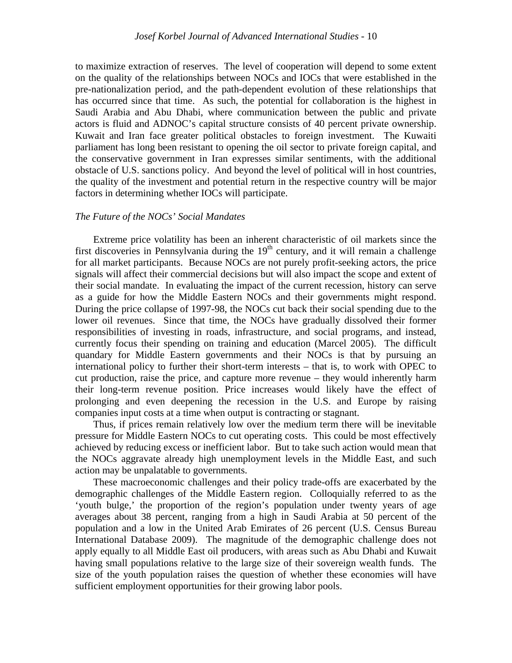to maximize extraction of reserves. The level of cooperation will depend to some extent on the quality of the relationships between NOCs and IOCs that were established in the pre-nationalization period, and the path-dependent evolution of these relationships that has occurred since that time. As such, the potential for collaboration is the highest in Saudi Arabia and Abu Dhabi, where communication between the public and private actors is fluid and ADNOC's capital structure consists of 40 percent private ownership. Kuwait and Iran face greater political obstacles to foreign investment. The Kuwaiti parliament has long been resistant to opening the oil sector to private foreign capital, and the conservative government in Iran expresses similar sentiments, with the additional obstacle of U.S. sanctions policy. And beyond the level of political will in host countries, the quality of the investment and potential return in the respective country will be major factors in determining whether IOCs will participate.

## *The Future of the NOCs' Social Mandates*

Extreme price volatility has been an inherent characteristic of oil markets since the first discoveries in Pennsylvania during the  $19<sup>th</sup>$  century, and it will remain a challenge for all market participants. Because NOCs are not purely profit-seeking actors, the price signals will affect their commercial decisions but will also impact the scope and extent of their social mandate. In evaluating the impact of the current recession, history can serve as a guide for how the Middle Eastern NOCs and their governments might respond. During the price collapse of 1997-98, the NOCs cut back their social spending due to the lower oil revenues. Since that time, the NOCs have gradually dissolved their former responsibilities of investing in roads, infrastructure, and social programs, and instead, currently focus their spending on training and education (Marcel 2005). The difficult quandary for Middle Eastern governments and their NOCs is that by pursuing an international policy to further their short-term interests – that is, to work with OPEC to cut production, raise the price, and capture more revenue – they would inherently harm their long-term revenue position. Price increases would likely have the effect of prolonging and even deepening the recession in the U.S. and Europe by raising companies input costs at a time when output is contracting or stagnant.

Thus, if prices remain relatively low over the medium term there will be inevitable pressure for Middle Eastern NOCs to cut operating costs. This could be most effectively achieved by reducing excess or inefficient labor. But to take such action would mean that the NOCs aggravate already high unemployment levels in the Middle East, and such action may be unpalatable to governments.

These macroeconomic challenges and their policy trade-offs are exacerbated by the demographic challenges of the Middle Eastern region. Colloquially referred to as the 'youth bulge,' the proportion of the region's population under twenty years of age averages about 38 percent, ranging from a high in Saudi Arabia at 50 percent of the population and a low in the United Arab Emirates of 26 percent (U.S. Census Bureau International Database 2009). The magnitude of the demographic challenge does not apply equally to all Middle East oil producers, with areas such as Abu Dhabi and Kuwait having small populations relative to the large size of their sovereign wealth funds. The size of the youth population raises the question of whether these economies will have sufficient employment opportunities for their growing labor pools.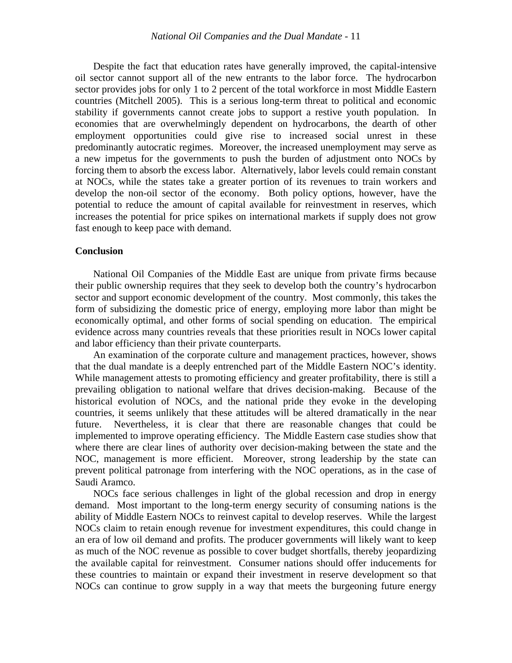Despite the fact that education rates have generally improved, the capital-intensive oil sector cannot support all of the new entrants to the labor force. The hydrocarbon sector provides jobs for only 1 to 2 percent of the total workforce in most Middle Eastern countries (Mitchell 2005). This is a serious long-term threat to political and economic stability if governments cannot create jobs to support a restive youth population. In economies that are overwhelmingly dependent on hydrocarbons, the dearth of other employment opportunities could give rise to increased social unrest in these predominantly autocratic regimes. Moreover, the increased unemployment may serve as a new impetus for the governments to push the burden of adjustment onto NOCs by forcing them to absorb the excess labor. Alternatively, labor levels could remain constant at NOCs, while the states take a greater portion of its revenues to train workers and develop the non-oil sector of the economy. Both policy options, however, have the potential to reduce the amount of capital available for reinvestment in reserves, which increases the potential for price spikes on international markets if supply does not grow fast enough to keep pace with demand.

## **Conclusion**

National Oil Companies of the Middle East are unique from private firms because their public ownership requires that they seek to develop both the country's hydrocarbon sector and support economic development of the country. Most commonly, this takes the form of subsidizing the domestic price of energy, employing more labor than might be economically optimal, and other forms of social spending on education. The empirical evidence across many countries reveals that these priorities result in NOCs lower capital and labor efficiency than their private counterparts.

An examination of the corporate culture and management practices, however, shows that the dual mandate is a deeply entrenched part of the Middle Eastern NOC's identity. While management attests to promoting efficiency and greater profitability, there is still a prevailing obligation to national welfare that drives decision-making. Because of the historical evolution of NOCs, and the national pride they evoke in the developing countries, it seems unlikely that these attitudes will be altered dramatically in the near future. Nevertheless, it is clear that there are reasonable changes that could be implemented to improve operating efficiency. The Middle Eastern case studies show that where there are clear lines of authority over decision-making between the state and the NOC, management is more efficient. Moreover, strong leadership by the state can prevent political patronage from interfering with the NOC operations, as in the case of Saudi Aramco.

NOCs face serious challenges in light of the global recession and drop in energy demand. Most important to the long-term energy security of consuming nations is the ability of Middle Eastern NOCs to reinvest capital to develop reserves. While the largest NOCs claim to retain enough revenue for investment expenditures, this could change in an era of low oil demand and profits. The producer governments will likely want to keep as much of the NOC revenue as possible to cover budget shortfalls, thereby jeopardizing the available capital for reinvestment. Consumer nations should offer inducements for these countries to maintain or expand their investment in reserve development so that NOCs can continue to grow supply in a way that meets the burgeoning future energy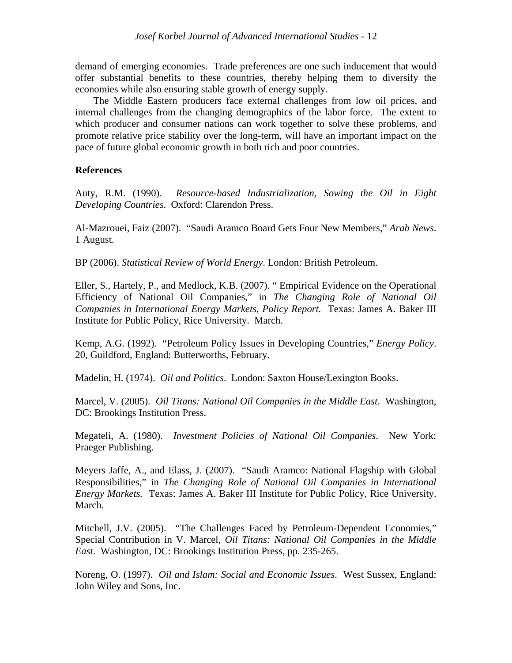demand of emerging economies. Trade preferences are one such inducement that would offer substantial benefits to these countries, thereby helping them to diversify the economies while also ensuring stable growth of energy supply.

The Middle Eastern producers face external challenges from low oil prices, and internal challenges from the changing demographics of the labor force. The extent to which producer and consumer nations can work together to solve these problems, and promote relative price stability over the long-term, will have an important impact on the pace of future global economic growth in both rich and poor countries.

## **References**

Auty, R.M. (1990). *Resource-based Industrialization, Sowing the Oil in Eight Developing Countries*. Oxford: Clarendon Press.

Al-Mazrouei, Faiz (2007). "Saudi Aramco Board Gets Four New Members," *Arab News*. 1 August.

BP (2006). *Statistical Review of World Energy*. London: British Petroleum.

Eller, S., Hartely, P., and Medlock, K.B. (2007). " Empirical Evidence on the Operational Efficiency of National Oil Companies," in *The Changing Role of National Oil Companies in International Energy Markets, Policy Report.* Texas: James A. Baker III Institute for Public Policy, Rice University. March.

Kemp, A.G. (1992). "Petroleum Policy Issues in Developing Countries," *Energy Policy*. 20, Guildford, England: Butterworths, February.

Madelin, H. (1974). *Oil and Politics*. London: Saxton House/Lexington Books.

Marcel, V. (2005). *Oil Titans: National Oil Companies in the Middle East*. Washington, DC: Brookings Institution Press.

Megateli, A. (1980). *Investment Policies of National Oil Companies*. New York: Praeger Publishing.

Meyers Jaffe, A., and Elass, J. (2007). "Saudi Aramco: National Flagship with Global Responsibilities," in *The Changing Role of National Oil Companies in International Energy Markets.* Texas: James A. Baker III Institute for Public Policy, Rice University. March.

Mitchell, J.V. (2005). "The Challenges Faced by Petroleum-Dependent Economies," Special Contribution in V. Marcel, *Oil Titans: National Oil Companies in the Middle East*. Washington, DC: Brookings Institution Press, pp. 235-265.

Noreng, O. (1997). *Oil and Islam: Social and Economic Issues*. West Sussex, England: John Wiley and Sons, Inc.